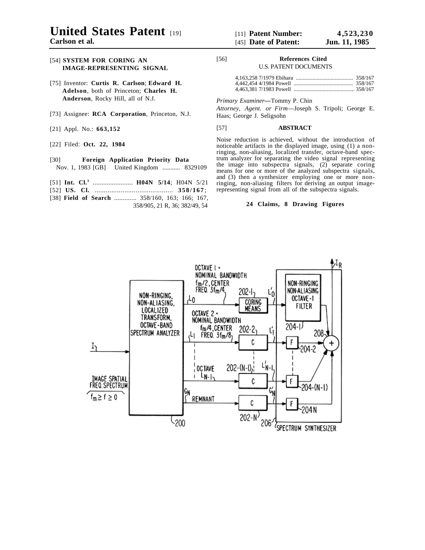# **United States Patent** [19]

**Carlson et al.**

## [54] **SYSTEM FOR CORING AN IMAGE-REPRESENTING SIGNAL**

- [75] Inventor: **Curtis R. Carlson**; **Edward H. Adelson**, both of Princeton; **Charles H. Anderson**, Rocky Hill, all of N.J.
- [73] Assignee: **RCA Corporation**, Princeton, N.J.
- [21] Appl. No.: **663,152**
- [22] Filed: **Oct. 22, 1984**
- [30] **Foreign Application Priority Data** Nov. 1, 1983 [GB] United Kingdom ........... 8329109
- [51] **Int. Cl.3** ....................... **H04N 5/14**; H04N 5/21
- [52] **US. Cl.** .......................................... **358/167** ;
- [38] **Field of Search** ............. 358/160, 163; 166; 167, 358/905, 21 R, 36; 382/49, 54

# [56] **References Cited**

U.S. PATENT DOCUMENTS

*Primary Examiner—*Tommy P. Chin

*Attorney, Agent. or Firm*—Joseph S. Tripoli; George E. Haas; George J. Seligsohn

### [57] **ABSTRACT**

Noise reduction is achieved, without the introduction of noticeable artifacts in the displayed image, using (1) a nonringing, non-aliasing, localized transfer, octave-band spectrum analyzer for separating the video signal representing the image into subspectra signals, (2) separate coring means for one or more of the analyzed subspectra signals, and (3) then a synthesizer employing one or more nonringing, non-aliasing filters for deriving an output imagerepresenting signal from all of the subspectra signals.

## **24 Claims, 8 Drawing Figures**

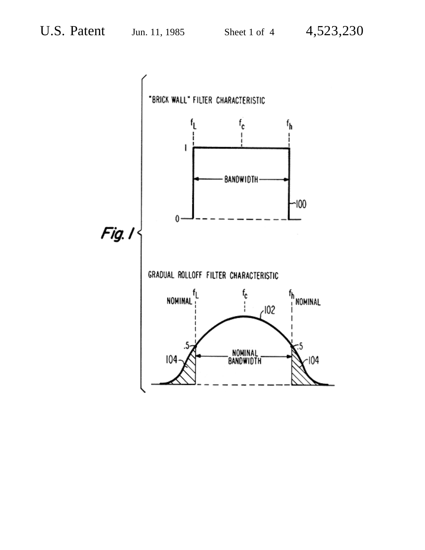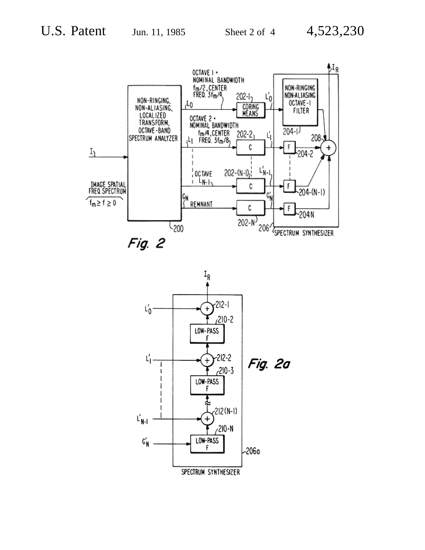

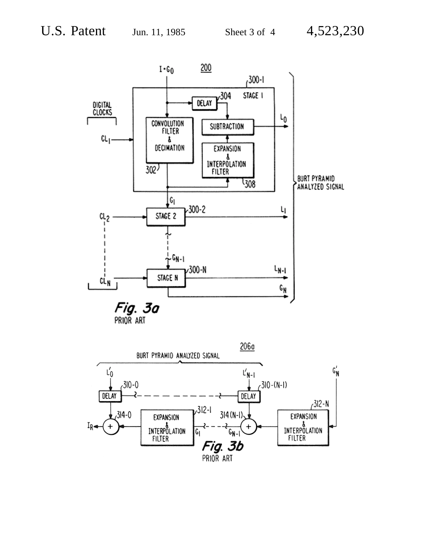

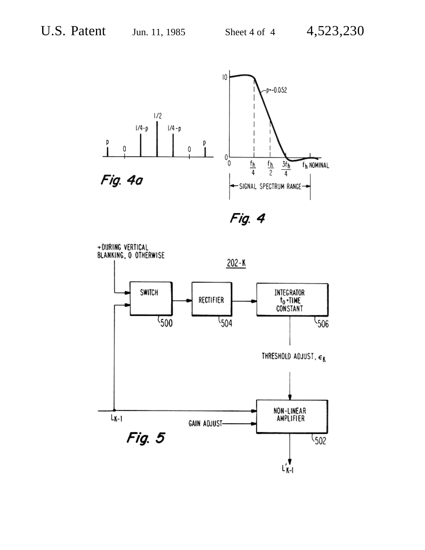

Fig. 4

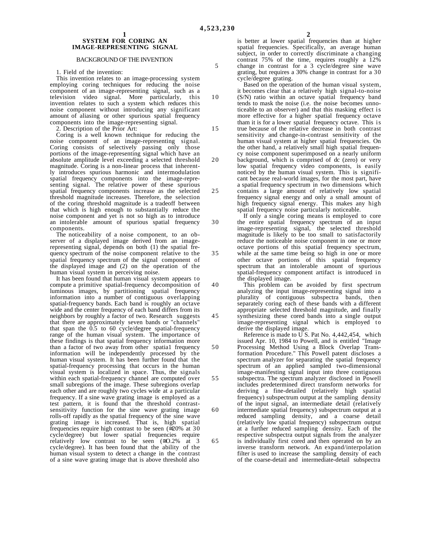10

#### **1 SYSTEM FOR CORING AN IMAGE-REPRESENTING SIGNAL**

#### BACKGROUND OF THE INVENTION

1. Field of the invention:

This invention relates to an image-processing system employing coring techniques for reducing the noise component of an image-representing signal, such as a television video signal. More particularly, this invention relates to such a system which reduces this noise component without introducing any significant amount of aliasing or other spurious spatial frequency components into the image-representing signal.

2. Description of the Prior Art:

Coring is a well known technique for reducing the noise component of an image-representing signal. Coring consists of selectively passing only those portions of the image-representing signal which have an absolute amplitude level exceeding a selected threshold magnitude. Coring is a non-linear process that inherently introduces spurious harmonic and intermodulation spatial frequency components into the image-representing signal. The relative power of these spurious spatial frequency components increase as the selected threshold magnitude increases. Therefore, the selection of the coring threshold magnitude is a tradeoff between that which is high enough to substantially reduce the noise component and yet is not so high as to introduce an intolerable amount of spurious spatial frequency components.

The noticeability of a noise component, to an observer of a displayed image derived from an imagerepresenting signal, depends on both (1) the spatial frequency spectrum of the noise component relative to the spatial frequency spectrum of the signal component of the displayed image and (2) on the operation of the human visual system in perceiving noise.

It has been found that human visual system appears to compute a primitive spatial-frequency decomposition of luminous images, by partitioning spatial frequency information into a number of contiguous overlapping spatial-frequency bands. Each band is roughly an octave wide and the center frequency of each band differs from its neighbors by roughly a factor of two. Research suggests that there are approximately seven bands or "channels" that span the  $0.5$  to 60 cycle/degree spatial-frequency range of the human visual system. The importance of these findings is that spatial frequency information more than a factor of two away from other spatia1 frequency information will be independently processed by the human visual system. It has been further found that the spatial-frequency processing that occurs in the human visual system is localized in space. Thus, the signals within each spatial-frequency channel are computed over small subregions of the image. These subregions overlap each other and are roughly two cycles wide at a particular frequency. If a sine wave grating image is employed as a test pattern, it is found that the threshold contrastsensitivity function for the sine wave grating image rolls-off rapidly as the spatial frequency of the sine wave grating image is increased. That is, high spatial frequencies require high contrast to be seen (≅20% at 30 cycle/degree) but lower spatial frequencies require relatively low contrast to be seen  $(\equiv 0.2\%$  at 3 cycle/degree). It has been found that the ability of the human visual system to detect a change in the contrast of a sine wave grating image that is above threshold also

is better at lower spatial frequencies than at higher spatial frequencies. Specifically, an average human subject, in order to correctly discriminate a changing contrast 75% of the time, requires roughly a 12% change in contrast for a 3 cycle/degree sine wave grating, but requires a 30% change in contrast for a 30 cycle/degree grating.

Based on the operation of the human visual system, it becomes clear that a relatively high signal-to-noise (S/N) ratio within an octave spatial frequency band tends to mask the noise (i.e. the noise becomes unnoticeable to an observer) and that this masking effect is more effective for a higher spatial frequency octave tham it is for a lower spatial frequency octave. This is true because of the relative decrease in both contrast sensitivity and change-in-contrast sensitivity of the human visual system at higher spatial frequencies. On the other hand, a relatively small high spatial frequency noise component superimposed on a nearly uniform background, which is comprised of dc (zero) or very low spatial frequency video components, is easily noticed by the human visual system. This is significant because real-world images, for the most part, have a spatial frequency spectrum in two dimensions which contains a large amount of relatively low spatial frequency signal energy and only a small amount of high frequency signal energy. This makes any high spatial frequency noise particularly noticeable.

If only a single coring means is employed to core the entire spatial frequency spectrum of an input image-representing signal, the selected threshold magnitude is likely to be too small to satisfactorily reduce the noticeable noise component in one or more octave portions of this spatial frequency spectrum, while at the same time being so high in one or more other octave portions of this spatial frequency spectrum that an intolerable amount of spurious spatial-frequency component artifact is introduced in the displayed image.

This problem can be avoided by first spectrum analyzing the input image-representing signal into a plurality of contiguous subspectra bands, then separately coring each of these bands with a different appropriate selected threshold magnitude, and finally synthesizing these cored bands into a single output image-representing signal which is employed to derive the displayed image.

Reference is made to U S. Pat No. 4,442,454, which issued Apr. 10, 1984 to Powell, and is entitled "Image Processing Method Using a Block Overlap Transformation Procedure." This Powell patent discloses a spectrum analyzer for separating the spatial frequency spectrum of an applied sampled two-dimensional image-manifesting signal input into three contiguous subspectra. The spectrum analyzer disclosed in Powell includes predetermined direct transform networks for deriving a fine-detailed (relatively high spatial frequency) subspectrum output at the sampling density of the input signal, an intermediate detail (relatively intermediate spatial frequency) subspectrum output at a reduced sampling density, and a coarse detail (relatively low spatial frequency) subspectrum output at a further reduced sampling density. Each of the respective subspectra output signals from the analyzer is individually first cored and then operated on by an inverse transform network. An expand/interpolation filter is used to increase the sampling density of each of the coarse-detail and intermediate-detail subspectra

15

20

25

30

35

40

45

50

55

60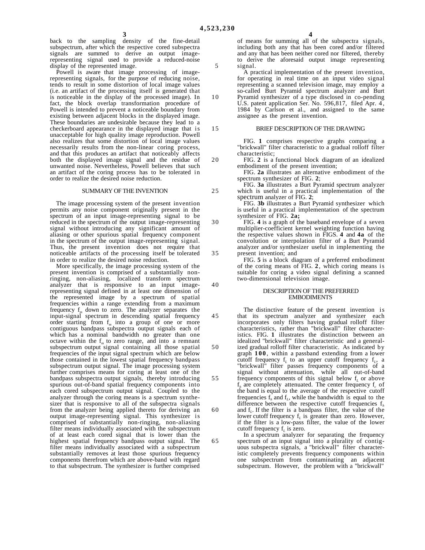10

15

20

back to the sampling density of the fine-detail subspectrum, after which the respective cored subspectra signals are summed to derive an output imagerepresenting signal used to provide a reduced-noise display of the represented image.

Powell is aware that image processing of imagerepresenting signals, for the purpose of reducing noise, tends to result in some distortion of local image values (i.e. an artifact of the processing itself is generated that is noticeable in the display of the processed image). In fact, the block overlap transformation procedure of Powell is intended to prevent a noticeable boundary from existing between adjacent blocks in the displayed image. These boundaries are undesirable because they lead to a checkerboard appearance in the displayed image that is unacceptable for high quality image reproduction. Powell also realizes that some distortion of local image values necessarily results from the non-linear coring process, and that this produces an artifact that noticeably affects both the displayed image signal and the residue of unwanted noise. Nevertheless, Powell believes that such an artifact of the coring process has to be tolerated in order to realize the desired noise reduction.

#### SUMMARY OF THE INVENTION

The image processing system of the present invention permits any noise component originally present in the spectrum of an input image-representing signal to be reduced in the spectrum of the output image-representing signal without introducing any significant amount of aliasing or other spurious spatial frequency component in the spectrum of the output image-representing signal. Thus, the present invention does not require that noticeable artifacts of the processing itself be tolerated in order to realize the desired noise reduction.

More specifically, the image processing system of the present invention is comprised of a substantially nonringing, non-aliasing, localized transform spectrum analyzer that is responsive to an input imagerepresenting signal defined in at least one dimension of the represented image by a spectrum of spatial frequencies within a range extending from a maximum frequency f*m* down to zero. The analyzer separates the input-signal spectrum in descending spatial frequency order starting from f*m* into a group of one or more contiguous bandpass subspectra output signals each of which has a nominal bandwidth no greater than one octave within the  $f<sub>m</sub>$  to zero range, and into a remnant subspectrum output signal containing all those spatial frequencies of the input signal spectrum which are below those contained in the lowest spatial frequency bandpass subspectrum output signal. The image processing system further comprises means for coring at least one of the bandpass subspectra output signals, thereby introducing spurious out-of-band spatial frequency components into each cored subspectrum output signal. Coupled to the analyzer through the coring means is a spectrum synthesizer that is responsive to all of the subspectra signals from the analyzer being applied thereto for deriving an output image-representing signal. This synthesizer is comprised of substantially non-ringing, non-aliasing filter means individually associated with the subspectrum of at least each cored signal that is lower than the highest spatial frequency bandpass output signal. The filter means individually associated with a subspectrum substantially removes at least those spurious frequency components therefrom which are above-band with regard to that subspectrum. The synthesizer is further comprised of means for summing all of the subspectra signals, including both any that has been cored and/or filtered and any that has been neither cored nor filtered, thereby to derive the aforesaid output image representing signal.

A practical implementation of the present invention, for operating in real time on an input video signal representing a scanned television image, may employ a so-called Burt Pyramid spectrum analyzer and Burt Pyramid synthesizer of a type disclosed in co-pending U.S. patent application Ser. No. 596,817, filed Apr. 4 , 1984 by Carlson et al., and assigned to the same assignee as the present invention.

#### BRIEF DESCRIPTION OF THE DRAWING

FIG. **1** comprises respective graphs comparing a "brickwall" filter characteristic to a gradual rolloff filter characteristic;

FIG. **2** is a functional block diagram of an idealized embodiment of the present invention;

FIG. **2a** illustrates an alternative embodiment of the spectrum synthesizer of FIG. **2**;

FIG. **3a** illustrates a Burt Pyramid spectrum analyzer which is useful in a practical implementation of the spectrum analyzer of FIG. **2**;

FIG. **3b** illustrates a Burt Pyramid synthesizer which is useful in a practical implementation of the spectrum synthesizer of FIG. **2a;**

FIG. **4** is a graph of the baseband envelope of a seven multiplier-coefficient kernel weighting function having the respective values shown in FIGS. **4** and **4a** of the convolution or interpolation filter of a Burt Pyramid analyzer and/or synthesizer useful in implementing the present invention; and

FIG. **5** is a block diagram of a preferred embodiment of the coring means of FIG. **2**, which coring means is suitable for coring a video signal defining a scanned two-dimensional television image.

#### DESCRIPTION OF THE PREFERRED EMBODIMENTS

The distinctive feature of the present invention is that its spectrum analyzer and synthesizer each incorporates only filters having gradual rolloff filter characteristics, rather than "brickwall" filter characteristics. FIG. **1** illustrates the distinction between an idealized "brickwall" filter characteristic and a generalized gradual rolloff filter characteristic. As indicated by graph **100** , within a passband extending from a lower cutoff frequency  $f<sub>L</sub>$  to an upper cutoff frequency  $f<sub>L</sub>$ , a "brickwall" filter passes frequency components of a signal without attenuation, while all out-of-band frequency components of this signal below  $f<sub>L</sub>$  or above  $f_h$  are completely attenuated. The center frequency  $f_c$  of the band is equal to the average of the respective cutoff frequencies  $f_h$  and  $f_L$ , while the bandwidth is equal to the difference between the respective cutoff frequencies  $f<sub>h</sub>$ and  $f<sub>L</sub>$ . If the filter is a bandpass filter, the value of the lower cutoff frequency f<sub>L</sub> is greater than zero. However, if the filter is a low-pass filter, the value of the lower cutoff frequency f<sub>*l*</sub> is zero.

In a spectrum analyzer for separating the frequency spectrum of an input signal into a plurality of contiguous subspectra signals, a "brickwall" filter characteristic completely prevents frequency components within one subspectrum from contaminating an adjacent subspectrum. However, the problem with a "brickwall"

25

30

35

40

45

50

55

60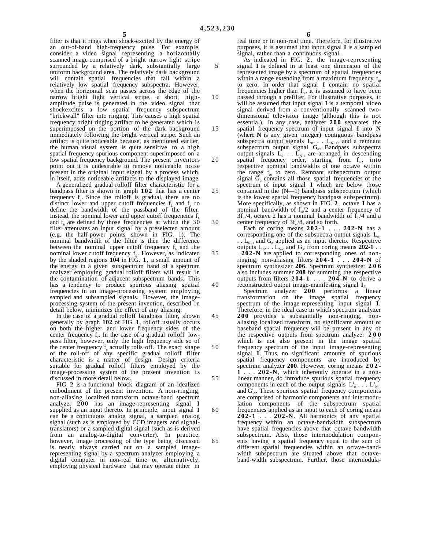filter is that it rings when shock-excited by the energy of an out-of-band high-frequency pulse. For example, consider a video signal representing a horizontally scanned image comprised of a bright narrow light stripe surrounded by a relatively dark, substantially large uniform background area. The relatively dark background will contain spatial frequencies that fall within a relatively low spatial frequency subspectra. However, when the horizontal scan passes across the edge of the narrow bright light vertical stripe, a short, highamplitude pulse is generated in the video signal that shockexcites a low spatial frequency subspectrum "brickwall" filter into ringing. This causes a high spatial frequency bright ringing artifact to be generated which is superimposed on the portion of the dark background immediately following the bright vertical stripe. Such an artifact is quite noticeable because, as mentioned earlier, the human visual system is quite sensitive to a high spatial frequency spurious component superimposed on a low spatial frequency background. The present inventors point out it is undesirable to remove noticeable noise present in the original input signal by a process which, in itself, adds noticeable artifacts to the displayed image.

A generalized gradual rolloff filter characteristic for a bandpass filter is shown in graph **102** that has a center frequency  $f_c$ . Since the rolloff is gradual, there are no distinct lower and upper cutoff frequencies  $f<sub>L</sub>$  and  $f<sub>h</sub>$  to define the bandwidth of the passband of the filter. Instead, the nominal lower and upper cutoff frequencies  $f<sub>L</sub>$ and  $f<sub>h</sub>$  are defined by those frequencies at which the  $30$ filter attenuates an input signal by a preselected amount (e.g. the half-power points shown in FIG. 1). The nominal bandwidth of the filter is then the difference between the nominal upper cutoff frequency f*h* and the nominal lower cutoff frequency  $f_L$ . However, as indicated by the shaded regions **104** in FIG. **1**, a small amount of the energy in a given subspectrum band of a spectrum analyzer employing gradual rolloff filters will result in the contamination of adjacent subspectrum bands. This has a tendency to produce spurious aliasing spatial frequencies in an image-processing system employing sampled and subsampled signals. However, the imageprocessing system of the present invention, described in detail below, minimizes the effect of any aliasing.

In the case of a gradual rolloff bandpass filter, shown generally by graph **102** of FIG. **1**, rolloff usually occurs on both the higher and lower frequency sides of the center frequency f<sub>c</sub>. In the case of a gradual rolloff lowpass filter, however, only the high frequency side so of the center frequency f<sub>c</sub> actually rolls off. The exact shape of the roll-off of any specific gradual rolloff filter characteristic is a matter of design. Design criteria suitable for gradual rolloff filters employed by the image-processing system of the present invention is discussed in more detail below.

FIG. **2** is a functional block diagram of an idealized embodiment of the present invention. A non-ringing, non-aliasing localized tramsform octave-band spectrum analyzer **200** has an image-representing signal **I** supplied as an input thereto. In principle, input signal **I** can be a continuous analog signal, a sampled analog signal (such as is employed by CCD imagers and signaltranslators) or a sampled digital signal (such as is derived from an analog-to-digital converter). In practice, however, image processing of the type being discussed is nearly always carried out on a sampled imagerepresenting signal by a spectrum analyzer employing a digital computer in non-real time or, alternatively, employing physical hardware that may operate either in

real time or in non-real time. Therefore, for illustrative purposes, it is assumed that input signal **I** is a sampled signal, rather than a continuous signal.

- 10 15 20 25 30 As indicated in FIG. **2**, the image-representing signal **I** is defined in at least one dimension of the represented image by a spectrum of spatial frequencies within a range extending from a maximum frequency f<sub>m</sub> to zero. In order that signal **I** contain no spatial frequencies higher than f*m*, it is assumed to have been passed through a prefilter. For illustrative purposes, it will be assumed that input signal **I** is a temporal video signal derived from a conventionally scanned twodimensional television image (although this is not essential). In any case, analyzer **200** separates the spatial frequency spectrum of input signal **I** into **N** (where **N** is any given integer) contiguous bandpass subspectra output signals  $L_0$ . . .  $L_{N-1}$ , and a remnant subspectrum output signal G*N*. Bandpass subspectra output signals  $L_0$ ...  $L_{N-1}$  are arranged in descending spatial frequency order, starting from f*m*, into respective nominal bandwidths of one octave within the range f*m* to zero. Remnant subspectrum output signal  $\tilde{G}_0$  contains all those spatial frequencies of the spectrum of input signal **I** which are below those contained in the  $(N-1)$  bandpass subspectrum (which is the lowest spatial frequency bandpass subspectrum). More specifically, as shown in FIG. **2**, octave **I** has a nominal bandwidth of  $f_m/2$  and a center frequency of  $3f<sub>m</sub>/4$ , octave 2 has a nominal bandwidth of  $\bar{f}<sub>m</sub>/4$  and a center frequency of 3f*m*/8, and so forth.
	- Each of coring means **202-1** . . . **202-N** has a corresponding one of the subspectra output signals  $L_0$ .  $\ldots$  L<sub>N–1</sub> and G<sub>N</sub> applied as an input thereto. Respective outputs  $L_0$ . . .  $L_{N-1}$  and  $G_N$  from coring means **202-1** . . . **202-N** are applied to corresponding ones of nonringing, non-aliasing filters **204-1** . . . **204-N** of spectrum synthesizer **206**. Spectrum synthesizer **206** also includes summer **208** for summing the respective outputs from filters **204-1** . . . **204-N** to derive a
- 40 45 50 55 60 65 reconstructed output image-manifesting signal **I***<sup>R</sup>* Spectrum analyzer **200** performs a linear transformation on the image spatial frequency spectrum of the image-representing input signal **I**. Therefore, in the ideal case in which spectrum analyzer **200** provides a substantially non-ringing, nonaliasing localized transform, no significamt amount of baseband spatial frequency will be present in any of the respective outputs from spectrum analyzer **200** which is not also present in the image spatial frequency spectrum of the input image-representing signal **I**. Thus, no significant amounts of spurious spatial frequency components are introduced by spectrum analyzer **200**. However, coring means **202- 1** . . . **202-N**, which inherently operate in a nonlinear manner, do introduce spurious spatial frequency components in each of the output signals  $L_0'$ . . .  $L_{N-1}'$ and  $G'_{N}$ . These spurious spatial frequency components are comprised of harmonic components and intermodulation components of the subspectrum spatial frequencies applied as an input to each of coring means **202-1** . . . **202-N**. All harmonics of any spatial frequency within an octave-bandwidth subspectrum have spatial frequencies above that octave-bandwidth subspectrum. Also, those intermodulation components having a spatial frequency equal to the sum of different spatial frequencies within an octave-bandwidth subspectrum are situated above that octaveband-width subspectrum. Further, those intermodula-

5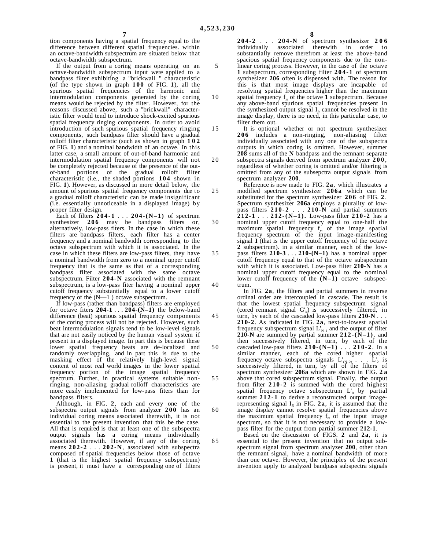tion components having a spatial frequency equal to the difference between different spatial frequencies. within an octave-bandwidth subspectrum are situated below that octave-bandwidth subspectrum.

If the output from a coring means operating on an octave-bandwidth subspectrum input were applied to a bandpass filter exhibiting a "brickwall " characteristic (of the type shown in graph **100** of FIG. **1**), all the spurious spatial frequencies of the harmonic and intermodulation components generated by the coring means would be rejected by the filter. However, for the reasons discussed above, such a "brickwall" characteristic filter would tend to introduce shock-excited spurious spatial frequency ringing components. In order to avoid introduction of such spurious spatial frequency ringing components, such bandpass filter should have a gradual rolloff filter characteristic (such as shown in graph **102** of FIG. **1**) and a nominal bandwidth of an octave. In this latter case, a small amount of out-of-band harmonic and intermodulation spatial frequency components will not be completely rejected because of the presence of the outof-band portions of the gradual rolloff filter characteristic (i.e., the shaded portions **104** shown in FIG. **1**). However, as discussed in more detail below, the amount of spurious spatial frequency components due to a gradual rolloff characteristic can be made insignificant (i.e. essentially unnoticeable in a displayed image) by proper filter design.

Each of filters **204-1** . . . **204-(N–1)** of spectrum synthesizer **206** may be bandpass filters or, alternatively, low-pass fiters. In the case in which these filters are bandpass filters, each filter has a center frequency and a nominal bandwidth corresponding to the octave subspectrum with which it is associated. In the case in which these filters are low-pass filters, they have a nominal bandwidth from zero to a nominal upper cutoff frequency that is the same as that of a corresponding bandpass filter associated with the same octave subspectrum. Filter **204-N** associated with the remnant subspectrum, is a low-pass fiter having a nominal upper cutoff frequency substantially equal to a lower cutoff frequency of the (N—1 ) octave subspectrum.

If low-pass (rather than bandpass) filters are employed for octave fiters **204-1** . . . **204-(N–1)** the below-band difference (beat) spurious spatial frequency components of the coring process will not be rejected. However, such beat intermodulation signals tend to be low-level signals that are not easily noticed by the human visual system if present in a displayed image. In part this is because these lower spatial frequency beats are de-localized and randomly overlapping, and in part this is due to the masking effect of the relatively high-level signal content of most real world images in the lower spatial frequency portion of the image spatial frequency spectrum. Further, in practical systems suitable nonringing, non-aliasing gradual rolloff characteristics are more easily implemented for low-pass fiters than for bandpass filters.

Although, in FIG. **2**, each and every one of the subspectra output signals from analyzer **200** has an individual coring means associated therewith, it is not essential to the present invention that this be the case. All that is required is that at least one of the subspectra output signals has a coring means individually associated therewith. However, if any of the coring means **202-2** . . . **202-N**, associated with subspectra composed of spatial frequencies below those of octave **1** (that is the highest spatial frequency subspectrum) is present, it must have a corresponding one of filters

**204-2** . . . **204-N** of spectrum synthesizer **206** individually associated therewith in order to substantially remove therefrom at least the above-band spacious spatial frequency components due to the nonlinear coring process. However, in the case of the octave **1** subspectrum, corresponding filter **204-1** of spectrum synthesizer **206** often is dispensed with. The reason for this is that most image displays are incapable of resolving spatial frequencies higher than the maximum spatial frequency  $f_m$  of the octave 1 subspectrum. Because any above-band spurious spatial frequencies present in the synthesized output signal  $I_R$  cannot be resolved in the image display, there is no need, in this particular case, to filter them out.

It is optional whether or not spectrum synthesizer **206** includes a non-ringing, non-aliasing filter individually associated with any one of the subspectra outputs in which coring is omitted. However, summer **208** sums all of the **N** bandpass and the remnant separate subspectra signals derived from spectrum analyzer **200** , regardless of whether coring is omitted and/or filtering is omitted from any of the subsepctra output signals from

30 40 spectrum analyzer **200**. Reference is now made to FIG. **2a**, which illustrates a modified spectrum synthesizer **206a** which can be substituted for the spectrum synthesizer **206** of FIG. **2** . Spectrum synthesizer **206a** employs a plurality of lowpass filters **210-2** . . . **210-N** and partial summers **212-1** . . . **212-(N–1).** Low-pass filter **210-2** has a nominal upper cutoff frequency equal to one-half the maximum spatial frequency f*m* of the image spatial frequency spectrum of the input image-manifesting signal **I** (that is the upper cutoff frequency of the octave **2** subspectrum). in a similar manner, each of the lowpass filters **210-3** . . . **210-(N–1)** has a nominal upper cutoff frequency equal to that of the octave subspectrum with which it is associated. Low-pass filter **210-N** has a nominal upper cutoff frequency equal to the nominal lower cutoff frequency of the **(N–1)** octave subspectrum.

In FIG. **2a**, the filters and partial summers in reverse ordinal order are intercoupled in cascade. The result is that the lowest spatial frequency subspectrum signal (cored remnant signal G'*N*) is successively filtered, in turn, by each of the cascaded low-pass filters **210-N** . . . **210-2**. As indicated in FIG. **2a**, next-to-lowest spatial frequency subspectrum signal  $L'_{N-1}$  and the output of filter **210-N** are summed by partial summer  $212-(N-1)$ , and then successively filtered, in turn, by each of the cascaded low-pass filters **210-(N–1)** . . . **210-2** . In a similar manner, each of the cored higher spatial frequency octave subspectra signals  $L'_{(N-2)}$ .  $\ldots$   $L'_{2}$  is successively filtered, in turn, by all of the filters of spectrum synthesizer **206a** which are shown in FIG. **2 a** above that cored subspectrum signal. Finally, the output from filter **210-2** is summed with the cored highest spatial frequency octave subspectrum  $L_0$  by partial summer 212-1 to derive a reconstructed output imagerepresenting signal  $I<sub>R</sub>$  in FIG. 2a, it is assumed that the image display cannot resolve spatial frequencies above the maximum spatial frequency  $f_m$  of the input image spectrum, so that it is not necessary to provide a lowpass filter for the output from partial summer **212-1**.

Based on the discussion of FIGS. **2** and **2a**, it is essential to the present invention that no output subspectrum signal from spectrum analyzer **200**, other than the remnant signal, have a nominal bandwidth of more than one octave. However, the principles of the present invention apply to analyzed bandpass subspectra signals

5

10

15

20

25

35

45

50

55

60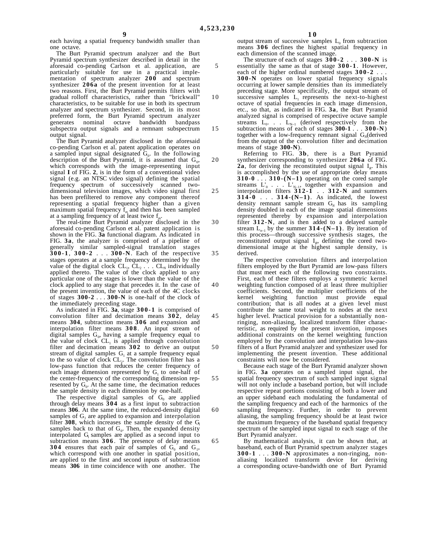45

50

55

60

65

each having a spatial frequency bandwidth smaller than one octave.

The Burt Pyramid spectrum analyzer and the Burt Pyramid spectrum synthesizer described in detail in the aforesaid co-pending Carlson et al. application, are particularly suitable for use in a practical implementation of spectrum analyzer **200** and spectrum synthesizer **206a** of the present invention for at least two reasons. First, the Burt Pyramid permits filters with gradual rolloff characteristics, rather than "brickwall" characteristics, to be suitable for use in both its spectrum analyzer and spectrum synthesizer. Second, in its most preferred form, the Burt Pyramid spectrum analyzer bandwidth subspectra output signals and a remnant subspectrum output signal.

The Burt Pyramid analyzer disclosed in the aforesaid co-pending Carlson et al. patent application operates on a sampled input signal designated  $G_0$ . In the following description of the Burt Pyramid, it is assumed that  $G_0$ , which corresponds with the image-representing input signal **I** of FIG. **2**, is in the form of a conventional video signal (e.g. an NTSC video signal) defining the spatial frequency spectrum of successively scanned twodimensional television images, which video signal first has been prefiltered to remove any component thereof representing a spatial frequency higher than a given maximum spatial frequency  $f_m$  and then has been sampled at a sampling frequency of at least twice f*m*.

The real-time Burt Pyramid analyzer disclosed in the aforesaid co-pending Carlson et al. patent application is shown in the FIG. **3a** functional diagram. As indicated in FIG. **3a**, the analyzer is comprised of a pipeline of generally similar sampled-signal translation stages **300-1** , **300-2** . . . **300-N**. Each of the respective stages operates at a sample frequency determined by the value of the digital clock  $CL_1$ ,  $CL_2$ ...  $CL_n$  individually applied thereto. The value of the clock applied to any particular one of the stages is lower than the value of the clock applied to any stage that precedes it. In the case of the present invention, the value of each of the 4C clocks of stages **300-2** . . . **300-N** is one-half of the clock of the immediately preceding stage.

As indicated in FIG. **3a**, stage **300-1** is comprised of convolution filter and decimation means **302** , delay means **304**, subtraction means **306** and expansion and interpolation filter means **308** . An input stream of digital samples  $G_0$ , having a sample frequency equal to the value of clock  $CL<sub>1</sub>$  is applied through convolution filter and decimation means **302** to derive an output stream of digital samples  $G_1$  at a sample frequency equal to the so value of clock  $CL<sub>2</sub>$ . The convolution filter has a low-pass function that reduces the center frequency of each image dimension represented by  $G<sub>1</sub>$  to one-half of the center-frequency of the corresponding dimension represented by  $G_0$ . At the same time, the decimation reduces the sample density in each dimension by one-half.

The respective digital samples of  $G_0$  are applied through delay means **304** as a first input to subtraction means **306**. At the same time, the reduced-density digital samples of  $G<sub>1</sub>$  are applied to expansion and interpolation filter **308**, which increases the sample density of the  $G$ samples back to that of  $G_0$ . Then, the expanded density interpolated  $G<sub>l</sub>$  samples are applied as a second input to subtraction means **306**. The presence of delay means **304** ensures that each pair of samples of  $G_0$  and  $G_1$ , which correspond with one another in spatial position, are applied to the first and second inputs of subtraction means 306 in time coincidence with one another. The output stream of successive samples  $L_0$  from subtraction means **306** decfines the highest spatial frequency in each dimension of the scanned image.

- 5 10 15 The structure of each of stages **300-2** . . . **300-N** is essentially the same as that of stage **300-1** . However, each of the higher ordinal numbered stages **300-2** . . . **300-N** operates on lower spatial frequency signals occurring at lower sample densities than its immediately preceding stage. More specifically, the output stream of successive samples  $L_1$  represents the next-to-highest octave of spatial frequencies in each image dimension, etc., so that, as indicated in FIG. **3a**, the Burt Pyramid analyzed signal is comprised of respective octave sample streams  $L_0$ . . .  $L_{N-1}$  (derived respectively from the subtraction means of each of stages **300-1** . . . **300-N**) together with a low-frequency remnant signal G<sub>N</sub>(derived from the output of the convolution filter and decimation means of stage **300-N**).
- 20 25 30 35 Referring to FIG. **3b**, there is a Burt Pyramid synthesizer corresponding to synthesizer **206a** of FIG. **2a**, for deriving the reconstituted output signal  $I<sub>R</sub>$ . This is accomplished by the use of appropriate delay means **310-0** . . . **310-(N–1)** operating on the cored sample streams  $L_0'$  . . .  $L_{N-1}$ , together with expansion and interpolation filters **312-1** . . **312-N** and summers **314-0** . . . **314-(N–1)**. As indicated, the lowest density remnant sample stream  $G_N$  has its sampling density doubled in each of the image spatial dimensions represented thereby by expansion and interpolation filter **312-N**, and is then added to a delayed sample stream  $L_{n-1}$  by the summer **314-(N–1)**. By iteration of this process—through successive synthesis stages, the reconstituted output signal  $I<sub>R</sub>$ , defining the cored twodimensional image at the highest sample density, is derived.

The respective convolution filters and interpolation filters employed by the Burt Pyramid are low-pass filters that must meet each of the following two constraints. First, each of these filters employs a symmetric kernel weighting function composed of at least three multiplier coefficients. Second, the multiplier coefficients of the kernel weighting function must provide equal contribution; that is all nodes at a given level must contribute the same total weight to nodes at the next higher level. Practical provision for a substantially nonringing, non-aliasing, localized transform filter characteristic, as required by the present invention, imposes additional constraints on the kernel weighting function employed by the convolution and interpolation low-pass filters of a Burt Pyramid analyzer and synthesizer used for implementing the present invention. These additional constraints will now be considered.

Because each stage of the Burt Pyramid analyzer shown in FIG. **3a** operates on a sampled input signal, the spatial frequency spectrum of such sampled input signal will not only include a baseband portion, but will include respective repeat portions consisting of both a lower and an upper sideband each modulating the fundamental of the sampling frequency and each of the harmonics of the sampling frequency. Further, in order to prevent aliasing, the sampling frequency should be at least twice the maximum frequency of the baseband spatial frequency spectrum of the sampled input signal to each stage of the Burt Pyramid analyzer.

By mathematical analysis, it can be shown that, at baseband, each of Burt Pyramid spectrum analyzer stages **300-1** . . . **300-N** approximates a non-ringing, non- aliasing localized transform device for deriving a corresponding octave-bandwidth one of Burt Pyramid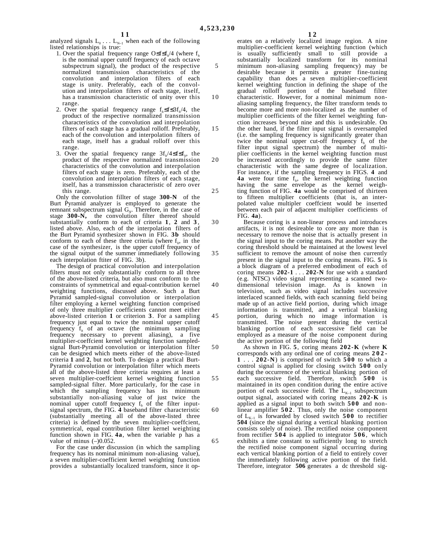analyzed signals  $L_0 \ldots L_{N-1}$  when each of the following listed relationships is true:

- 1. Over the spatial frequency range O≤f≤f*h*/4 (where f*<sup>h</sup>* is the nominal upper cutoff frequency of each octave subspectrum signal), the product of the respective normalized transmission characteristics of the convolution and interpolation filters of each stage is unity. Preferably, each of the convolution and interpolation filters of each stage, itself, has a transmission characteristic of unity over this range.
- 2. Over the spatial frequency range f*h*≤f≤3f*h*/4, the product of the respective normalized transmission characteristics of the convolution and interpolation filters of each stage has a gradual rolloff. Preferably, each of the convolution and interpolation filters of each stage, itself has a gradual rolloff over this range.
- 3. Over the spatial frequency range 3f*h*/4≤f≤f*h*, the product of the respective normalized transmission characteristics of the convolution and interpolation filters of each stage is zero. Preferably, each of the convolution and interpolation filters of each stage, itself, has a transmission characteristic of zero over this range.

Only the convolution fillter of stage **300-N** of the Burt Pyramid analyzer is employed to generate the remnant subspectrum signal G<sub>N</sub>. Therefore, in the case of stage **300-N,** the convolution filter thereof should substantially conform to each of criteria **1**, **2** and **3** , listed above. Also, each of the interpolation filters of the Burt Pyramid synthesizer shown in FIG. **3b** should conform to each of these three criteria (where  $f<sub>h</sub>$ , in the case of the synthesizer, is the upper cutoff frequency of the signal output of the summer immediately following each interpolation ftiter of FIG. 3b).

The design of practical convolution and interpolation filters must not only substantially conform to all three of the above-listed criteria, but also must conform to the constraints of symmetrical and equal-contribution kernel weighting functions, discussed above. Such a Burt Pyramid sampled-signal convolution or interpolation filter employing a kernel weighting function comprised of only three multiplier coefficients cannot meet either above-listed criterion **1** or criterion **3**. For a sampling frequency just equal to twice the nominal upper cutoff frequency  $f_h$  of an octave (the minimum sampling frequency necessary to prevent aliasing), a five multiplier-coeffcient kernel weighting function sampledsignal Burt-Pyramid convolution or interpolation filter can be designed which meets either of the above-listed criteria **1** and **2**, but not both. To design a practical Burt-Pyramid convolution or interpolation filter which meets all of the above-listed three criteria requires at least a seven multiplier-coeffcient kernel weighting function sampled-signal filter. More particularly, for the case in which the sampling frequency has its minimum substantially non-aliasing value of just twice the nominal upper cutoff frequency f*h* of the filter inputsignal spectrum, the FIG. **4** baseband filter characteristic (substantially meeting all of the above-listed three criteria) is defined by the seven multiplier-coeffcient, symmetrical, equal contribution filter kernel weighting function shown in FIG. **4a**, when the variable p has a value of minus  $(-)0.052$ .

For the case under discussion (in which the sampling frequency has its nominal minimum non-aliasing value), a seven multiplier-coefficient kernel weighting function provides a substantially localized transform, since it operates on a relatively localized image region. A nine multiplier-coefficient kernel weighting function (which is usually sufficiently small to still provide a substantially localized transform for its nominal minimum non-aliasing sampling frequency) may be desirable because it permits a greater fine-tuning capability than does a seven multiplier-coefficient kernel weighting function in defining the shape of the gradual rolloff portion of the baseband filter characteristic. However, for a nominal minimum nonaliasing sampling frequency, the filter transform tends to become more and more non-localized as the number of multiplier coefficients of the filter kernel weighting function increases beyond nine and this is undesirable. On the other hand, if the filter input signal is oversampled (i.e. the sampling frequency is significantly greater than twice the nominal upper cut-off frequency  $f<sub>h</sub>$  of the filter input signal spectrum) the number of multiplier coefficients in the kernel weighting function must be increased accordingly to provide the same filter characteristic with the same degree of localization. For instance, if the sampling frequency in FIGS. **4** and **4a** were four time f*h*, the kernel weighting function having the same envelope as the kernel weighting function of FIG. **4a** would be comprised of thirteen to fifteen multiplier coefficients (that is, an interpolated value multipler coeffcient would be inserted between each pair of adjacent multiplier coefficients of FIG. **4a**).

Because coring is a non-linear process and introduces artifacts, it is not desireable to core any more than is necessary to remove the noise that is actually present in the signal input to the coring means. Put another way the coring threshold should be maintained at the lowest level sufficient to remove the amount of noise then currently present in the signal input to the coring means. FIG. **5** is a block diagram of a preferred embodiment of each of coring means **202-1** . . . **202-N** for use with a standard (e.g. NTSC) video signal representing a scanned twodimensional television image. As is known in television, such as video signal includes successive interlaced scanned fields, with each scanning field being made up of an active field portion, during which image information is transmitted, and a vertical blanking portion, during which no image information is transmitted. The noise present during the vertical blanking portion of each successive field can be employed as a measure of the noise component during the active portion of the following field

As shown in FIG. **5**, coring means **202-K** (where **K** corresponds with any ordinal one of coring means **202- 1** . . . **202-N**) is comprised of switch **500** to which a control signal is applied for closing switch **500** only during the occurrence of the vertical blanking portion of each successive field. Therefore, switch **500** is maintained in its open condition during the entire active portion of each successive field. The  $L_{K-1}$  subspectrum output signal, associated with coring means **202-K** is applied as a signal input to both switch **500** and nonlinear amplifier **502** . Thus, only the noise component of  $L_{K-1}$  is forwarded by closed switch **500** to rectifier **504** (since the signal during a vertical blanking portion consists solely of noise). The rectified noise component from rectifier **504** is applied to integrator **506** , which exhibits a time constant to sufficiently long to stretch the rectified noise component signal occurring during each vertical blanking portion of a field to entirely cover the immediately following active portion of the field. Therefore, integrator **506** generates a dc threshold sig-

5

10

15

20

25

30

35

40

45

50

55

60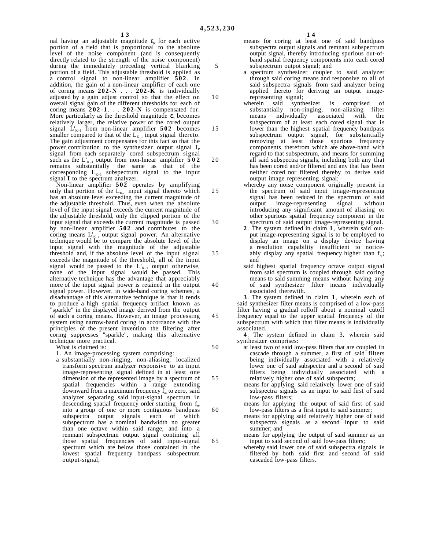10

15

20

25

30

35

40

45

50

55

60

65

nal having an adjustable magnitude  $\varepsilon_K$  for each active portion of a field that is proportional to the absolute level of the noise component (and is consequently directly related to the strength of the noise component) during the immediately preceding vertical blanking portion of a field. This adjustable threshold is applied as a control signal to non-linear amplifier **502** . In addition, the gain of a non-linear amplifier of each one of coring means **202-N** . . . **202-K** is individually adjusted by a gain adjust control so that the effect on overall signal gain of the different thresholds for each of coring means **202-1** . . . **202-N** is compensated for. More particularly as the threshold magnitude  $\varepsilon_k$  becomes relatively larger, the relative power of the cored output signal  $\dot{L}_{K-1}$  from non-linear amplifier **502** becomes smaller compared to that of the  $L_{K-1}$  input signal thereto. The gain adjustment compensates for this fact so that the power contribution to the synthesizer output signal I*<sup>R</sup>* signal from each separately cored subspectrum signal such as the  $L'_{K-1}$  output from non-linear amplifier  $\overline{502}$ remains substantially the same as that of the corresponding  $L_{K-1}$  subspectrum signal to the input signal **I** to the spectrum analyzer.

Non-linear amplifier **502** operates by amplifying only that portion of the  $L_{K-1}$  input signal thereto which has an absolute level exceeding the current magnitude of the adjustable threshold. Thus, even when the absolute level of the input signal exceeds the current magnitude of the adjustable threshold, only the clipped portion of the input signal that exceeds the current magnitude is passed by non-linear amplifier **502** and contributes to the coring means  $L'_{K-1}$  output signal power. An alternative technique would be to compare the absolute level of the input signal with the magnitude of the adjustable threshold and, if the absolute level of the input signal exceeds the magnitude of the threshold, all of the input signal would be passed to the  $L_{K-1}$  output otherwise, none of the input signal would be passed. This alternative technique has the advantage that appreciably more of the input signal power is retained in the output signal power. However. in wide-band coring schemes, a disadvantage of this alternative technique is that it tends to produce a high spatial frequency artifact known as "sparkle" in the displayed image derived from the output of such a coring means. However, an image processing system using narrow-band coring in accordance with the principles of the present invention the filtering after coring suppresses "sparkle", making this alternative technique more practical.

What is claimed is:

- **1**. An image-processing system comprising:
- a substantially non-ringing, non-aliasing, localized transform spectrum analyzer responsive to an input image-representing signal defined in at least one dimension of the represented image by a spectrum of spatial frequencies within a range extending downward from a maximum frequency f<sub>m</sub> to zero, said analyzer separating said input-signal spectrum in descending spatial frequency order starting from f*<sup>m</sup>* into a group of one or more contiguous bandpass subspectra output signals subspectrum has a nominal bandwidth no greater than one octave within said range, and into a remnant subspectrum output signal contining all those spatial frequencies of said input-signal spectrum which are below those contained in the lowest spatial frequency bandpass subspectrum output-signal;
- means for coring at least one of said bandpass subspectra output signals and remnant subspectrum output signal, thereby introducing spurious out-ofband spatial frequency components into each cored subspectrum outpot signal; and
- a spectrum synthesizer coupler to said analyzer through said coring means and responsive to all of said subspectra signals from said analyzer being applied thereto for deriving an output imagerepresenting signal;
- wherein said synthesizer is comprised of substantially non-ringing, non-aliasing filter non-ringing, non-aliasing filter means individually associated with the subspectrum of at least each cored signal that is lower than the highest spatial frequency bandpass subspectrum output signal, for substantially removing at least those spurious frequency components therefrom which are above-band with regard to that subspectrum, and means for summing all said subspectra signals, including both any that has been cored and/or filtered and any that has been neither cored nor filtered thereby to derive said output image representing signal;
- whereby any noise component originally present in the spectrum of said input image-representing signal has been reduced in the spectrum of said output image-representing signal without introducing any significant amount of aliasing or other spurious spatial frequency component in the spectrum of said output image-representing signal.
	- **2**. The system defined in claim **1**, wherein said output image-representing signal is to be employed to display an image on a display device having a resolution capability insufficient to noticeably display any spatial frequency higher than f*m*; and
		- said highest spatial frequency octave output signal from said spectrum is coupled through said coring means to said summing means without having any of said synthesizer filter means individually associated therewith.

**3**. The system defined in claim **1**, wherein each of said synthesizer filter means is comprised of a low-pass filter having a gradual rolloff about a nominal cutoff frequency equal to the upper spatial frequency of the subspectrum with which that filter means is individually associated.

**4**. The system defined in claim 3, wherein said synthesizer comprises:

- at least two of said low-pass filters that are coupled in cascade through a summer, a first of said filters being individually associated with a relatively lower one of said subspectra and a second of said filters being individually associated with a relatively higher one of said subspectra;
	- means for applying said relatively lower one of said subspectra signals as an input to said first of said low-pass filters;
		- means for applying the output of said first of said low-pass filters as a first input to said summer;
		- means for applying said relatively higher one of said subspectra signals as a second input to said summer; and
		- means for applying the output of said summer as an input to said second of said low-pass filters;
		- whereby said lower one of said subspectra signals is filtered by both said first and second of said cascaded low-pass filters.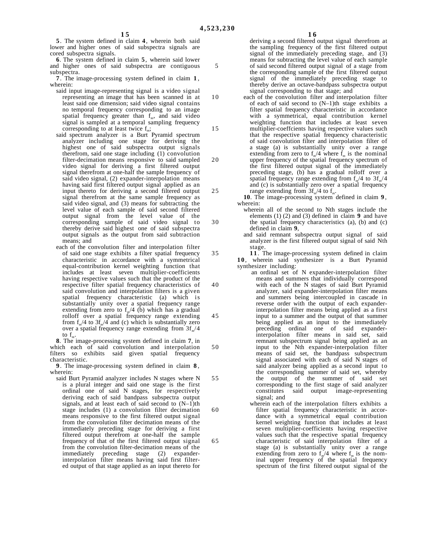**5**. The system defined in claim **4**, wherein both said lower and higher ones of said subspectra signals are cored subspectra signals.

**6**. The system defined in claim **5**, wherein said lower and higher ones of said subspectra are contiguous subspectra.

**7**. The image-processing system defined in claim **1** , wherein:

- said input image-representing signal is a video signal representing an image that has been scanned in at least said one dimension; said video signal contains no temporal frequency corresponding to an image spatial frequency greater than f*m*, and said video signal is sampled at a temporal sampling frequency corresponding to at least twice f*m*;
- said spectrum analyzer is a Burt Pyramid spectrum analyzer including one stage for deriving the highest one of said subspectra output signals therefrom, said one stage including (1) convolution filter-decimation means responsive to said sampled video signal for deriving a first filtered output signal therefrom at one-half the sample frequency of said video signal, (2) expander-interpolation means having said first filtered output signal applied as an input thereto for deriving a second filtered output signal therefrom at the same sample frequency as said video signal, and (3) means for subtracting the level value of each sample of said second filtered output signal from the level value of the corresponding sample of said video signal to thereby derive said highest one of said subspectra output signals as the output from said subtraction means; and
- each of the convolution filter and interpolation filter of said one stage exhibits a filter spatial frequency characteristic in accordance with a symmetrical equal-contribution kernel weighting function that includes at least seven multiplier-coefficients having respective values such that the product of the respective filter spatial frequency characteristics of said convolution and interpolation filters is a given spatial frequency characteristic (a) which is substantially unity over a spatial frequency range extending from zero to  $f<sub>m</sub>/4$  (b) which has a gradual rolloff over a spatial frequency range extending from  $f_{m}/4$  to  $3f_{m}/4$  and (c) which is substantially zero over a spatial frequency range extending from 3f*m*/4 to  $f_n$ .

**8**. The image-processing system defined in claim **7**, in which each of said convolution and interpolation filters so exhibits said given spatial frequency characteristic.

**9**. The image-processing system defined in claim **8** , wherein:

said Burt Pyramid analyzer includes N stages where N is a plural integer and said one stage is the first ordinal one of said N stages, for respectively deriving each of said bandpass subspectra output signals, and at least each of said second to  $(N-1)$ th stage includes (1) a convolution filter decimation means responsive to the first filtered output signal from the convolution filter decimation means of the immediately preceding stage for deriving a first filtered output therefrom at one-half the sample frequency of that of the first filtered output signal from the convolution filter-decimation means of the immediately preceding stage (2) expanderinterpolation filter means having said first filtered output of that stage applied as an input thereto for deriving a second filtered output signal therefrom at the sampling frequency of the first filtered output signal of the immediately preceding stage, and (3) means for subtracting the level value of each sample of said second filtered output signal of a stage from the corresponding sample of the first filtered output signal of the immediately preceding stage to thereby derive an octave-bandpass subspectra output signal corresponding to that stage; and

each of the convolution filter and interpolation filter of each of said second to (N–1)th stage exhibits a filter spatial frequency characteristic in accordance with a symmetrical, equal contribution kernel weighting function that includes at least seven multiplier-coeffcients having respective values such that the respective spatial frequency characteristic of said convolution filter and interpolation filter of a stage (a) is substantially unity over a range extending from zero to  $f_{m}/4$  where  $f_{m}$  is the nominal upper frequency of the spatial frequency spectrum of the first filtered output signal of the immediately preceding stage, (b) has a gradual rolloff over a spatial frequency range extending from  $f_m/4$  to  $3f_m/4$ and (c) is substantially zero over a spatial frequency range extending from  $3f_m/4$  to  $f_m$ .

**10**. The image-processing system defined in claim **9** , wherein:

wherein all of the second to Nth stages include the elements (1) (2) and (3) defined in claim **9** and have the spatial frequency characteristics (a), (b) and (c) defined in claim **9**,

and said remnant subspectra output signal of said analyzer is the first filtered output signal of said Nth stage.

**1 1** . The image-processing system defined in claim **1 0** , wherein said synthesizer is a Burt Pyramid synthesizer including:

- 40 45 50 55 an ordinal set of N expander-interpolation filter means and summers that individually correspond with each of the N stages of said Burt Pyramid analyzer, said expander-interpolation filter means and summers being intercoupled in cascade in reverse order with the output of each expanderinterpolation filter means being applied as a first input to a summer and the output of that summer being applied as an input to the immediately preceding ordinal one of said expanderinterpolation filter means in said set, said remnant subspectrum signal being applied as an input to the Nth expander-interpolation filter means of said set, the bandpass subspectrum signal associated with each of said N stages of said analyzer being applied as a second input to the corresponding summer of said set, whereby the output of the summer of said set corresponding to the first stage of said analyzer constitutes said output image-representing signal; and
	- wherein each of the interpolation filters exhibits a filter spatial frequency characteristic in accordance with a symmetrical equal contribution kernel weighting function that includes at least seven multiplier-coefficients having respective values such that the respective spatial frequency characteristic of said interpolation filter of a stage (a) is substantially unity over a range extending from zero to  $f_m/4$  where  $f_m$  is the nom-<br>inal upper frequency of the spatial frequency spectrum of the first filtered output signal of the

10

15

20

25

30

35

60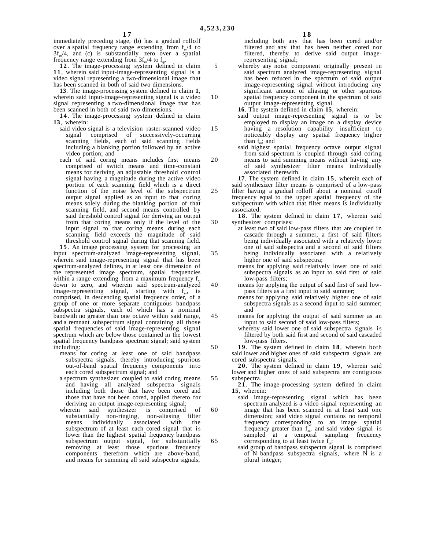10

15

20

25

30

35

40

45

50

55

immediately preceding stage, (b) has a gradual rolloff over a spatial frequency range extending from f<sub>m</sub>/4 to  $3f_m/4$ , and (c) is substantially zero over a spatial frequency range extending from 3f*m*/4 to f*m*.

**1 2** . The image-processing system defined in claim **1 1** , wherein said input-image-representing signal is a video signal representing a two-dimensional image that has been scanned in both of said two dimensions.

**13**. The image-processing system defined in claim **1**, wherein said input-image-representing signal is a video signal representing a two-dimensional image that has been scanned in both of said two dimensions.

**1 4** . The image-processing system defined in claim **13**, wherein:

- said video signal is a television raster-scanned video signal comprised of successively-occurring scanning fields, each of said scanning fields including a blanking portion followed by an active video portion; and
- each of said coring means includes first means comprised of switch means and time-constant means for deriving an adjustable threshold control signal having a magnitude during the active video portion of each scanning field which is a direct function of the noise level of the subspectrum output signal applied as an input to that coring means solely during the blanking portion of that scanning field, and second means controlled by said threshold control signal for deriving an output from that coring means only if the level of the input signal to that coring means during each scanning field exceeds the magnitude of said threshold control signal during that scanning field.

**1 5** . An image processing system for processing an input spectrum-analyzed image-representing signal, wherein said image-representing signal that has been spectrum-analyzed defines, in at least one dimension of the represented image spectrum, spatial frequencies within a range extending from a maximum frequency f<sub>m</sub> down to zero, and wherein said spectrum-analyzed image-representing signal, starting with f*m*, is comprised, in descending spatial frequency order, of a group of one or more separate contiguous bandpass subspectra signals, each of which has a nominal bandwith no greater than one octave within said range, and a remnant subspectrum signal containing all those spatial frequencies of said image-representing signal spectrum which are below those contained in the lowest spatial frequency bandpass spectrum signal; said system including:

- means for coring at least one of said bandpass subspectra signals, thereby introducing spurious out-of-band spatial frequency components into each cored subspectrum signal; and
- a spectrum synthesizer coupled to said coring means and having all analyzed subspectra signals including both those that have been cored and those that have not been cored, applied thereto for deriving an output image-representing signal;
- wherein said synthesizer is comprised of substantially non-ringing, non-aliasing filter non-ringing, non-aliasing filter means individually associated with the subspectrum of at least each cored signal that is lower than the highest spatial frequency bandpass subspectrum output signal, for substantially removing at least those spurious frequency components therefrom which are above-band, and means for summing all said subspectra signals,

including both any that has been cored and/or filtered and any that has been neither cored nor filtered, thereby to derive said output imagerepresenting signal;

whereby any noise component originally present in said spectrum analyzed image-representing signal has been reduced in the spectrum of said output image-representing signal without introducing any significant amount of aliasing or other spurious spatial frequency component in the spectrum of said output image-representing signal.

**16**. The system defined in claim **15**, wherein:

- said output image-representing signal is to be employed to display an image on a display device having a resolution capability insufficient to noticeably display any spatial frequency higher than f*m*; and
- said highest spatial frequency octave output signal from said spectrum is coupled through said coring means to said summing means without having any of said synthesizer filter means individually associated therewith.

**17**. The system defined in claim **15**, wherein each of said synthesizer filter means is comprised of a low-pass

- filter having a gradual rolloff about a nominal cutoff frequency equal to the upper spatial frequency of the subspectrum with which that filter means is individually associated.
- 18. The system defined in claim 17, wherein said synthesizer comprises:
- at least two of said low-pass filters that are coupled in cascade through a summer, a first of said filters being individually associated with a relatively lower one of said subspectra and a second of said filters being individually associated with a relatively higher one of said subspectra;
	- means for applying said relatively lower one of said subspectra signals as an input to said first of said low-pass filters;
	- means for applying the output of said first of said lowpass filters as a first input to said summer;
	- means for applying said relatively higher one of said subspectra signals as a second input to said summer; and
- means for applying the output of said summer as an input to said second of said low-pass filters;
	- whereby said lower one of said subspectra signals is filtered by both said first and second of said cascaded low-pass filters.

**1 9** . The system defined in claim **1 8** , wherein both said lower and higher ones of said subspectra signals are cored subspectra signals.

**20**. The system defined in claim 19, wherein said lower and higher ones of said subspectra are contiguous subspectra.

**2 1** . The image-processing system defined in claim **15**, wherein:

- said image-representing signal which has been spectrum analyzed is a video signal representing an image that has been scanned in at least said one dimension; said video signal contains no temporal frequency corresponding to an image spatial frequency greater than f*m*, and said video signal is sampled at a temporal sampling frequency corresponding to at least twice f*m*;
	- said group of bandpass subspectra signal is comprised of N bandpass subspectra signals, where N is a plural integer;

65